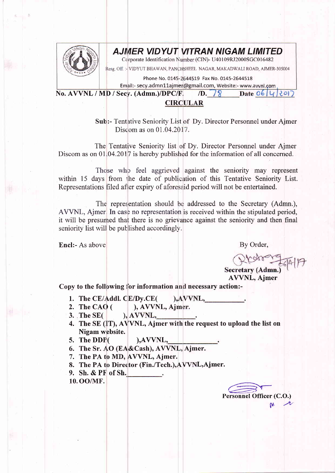

## AJMER VIDYUT VITRAN NIGAM LIMITED

Corporate Identification Number (CIN)- U40109RJ2000SGC016482

Resg. Off. :- VIDYUT BHAWAN, PANCHSHEEL NAGAR, MAKADWALI ROAD, AJMER-305004

Phone No. 0145-2644519 Fax No. 0145-2644518

Email:- secy.admn11ajmer@gmail.com, Website:- www.avvnl.com

No. AVVNL / MD / Secy. (Admn.)/DPC/F.  $\sqrt{D}$ ,  $\sqrt{8}$  Date 06 4 20) **CIRCULAR** 

> Sub:- Tentative Seniority List of Dy. Director Personnel under Ajmer Discom as on 01.04.2017.

The Tentative Seniority list of Dy. Director Personnel under Aimer Discom as on  $01,04.2017$  is hereby published for the information of all concerned.

Those who feel aggrieved against the seniority may represent within 15 days from the date of publication of this Tentative Seniority List. Representations filed after expiry of aforesaid period will not be entertained.

The representation should be addressed to the Secretary (Admn.), AVVNL, Ajmer. In case no representation is received within the stipulated period, it will be presumed that there is no grievance against the seniority and then final seniority list will be published accordingly.

Encl:- As above

By Order,

Secretary (Admn. **AVVNL**, Ajmer

Copy to the following for information and necessary action:-

- 1. The CE/Addl. CE/Dy.CE(  $AVVNL$ ,
- 2. The CAO  $($ ), AVVNL, Ajmer.
- $3.$  The SE(  $AVVNL,$
- 4. The SE (IT), AVVNL, Ajmer with the request to upload the list on Nigam website.
- 5. The DDP(
- 6. The Sr. AO (EA&Cash), AVVNL, Ajmer.
- 7. The PA to MD, AVVNL, Ajmer.
- 8. The PA to Director (Fin./Tech.), AVVNL, Ajmer.

 $AVVNL$ ,

- 9. Sh. & PF of Sh.
- 10. OO/MF.

Personnel Officer (C.O.)